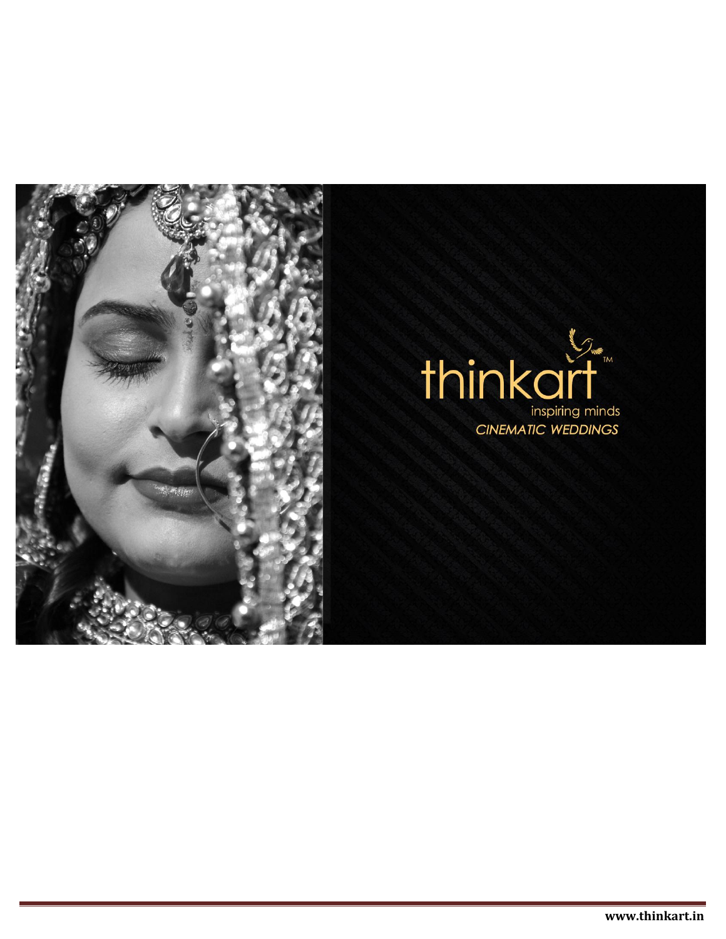



**www.thinkart.in**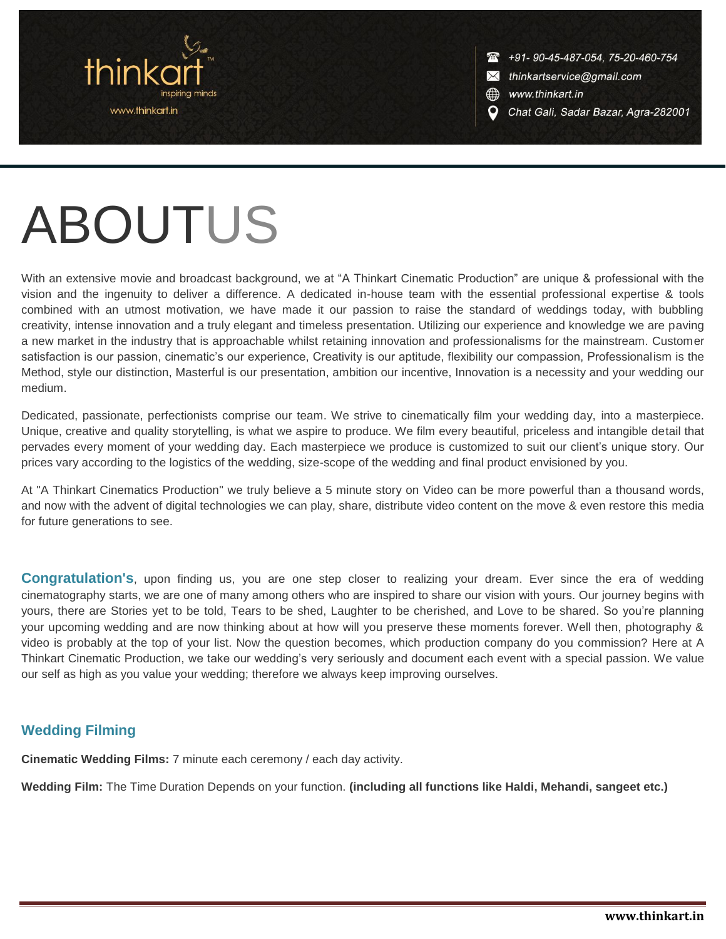

+91-90-45-487-054, 75-20-460-754

 $\times$ thinkartservice@gmail.com

∰ www.thinkart.in

Chat Gali, Sadar Bazar, Agra-282001

# ABOUTUS

With an extensive movie and broadcast background, we at "A Thinkart Cinematic Production" are unique & professional with the vision and the ingenuity to deliver a difference. A dedicated in-house team with the essential professional expertise & tools combined with an utmost motivation, we have made it our passion to raise the standard of weddings today, with bubbling creativity, intense innovation and a truly elegant and timeless presentation. Utilizing our experience and knowledge we are paving a new market in the industry that is approachable whilst retaining innovation and professionalisms for the mainstream. Customer satisfaction is our passion, cinematic's our experience, Creativity is our aptitude, flexibility our compassion, Professionalism is the Method, style our distinction, Masterful is our presentation, ambition our incentive, Innovation is a necessity and your wedding our medium.

Dedicated, passionate, perfectionists comprise our team. We strive to cinematically film your wedding day, into a masterpiece. Unique, creative and quality storytelling, is what we aspire to produce. We film every beautiful, priceless and intangible detail that pervades every moment of your wedding day. Each masterpiece we produce is customized to suit our client's unique story. Our prices vary according to the logistics of the wedding, size-scope of the wedding and final product envisioned by you.

At "A Thinkart Cinematics Production" we truly believe a 5 minute story on Video can be more powerful than a thousand words, and now with the advent of digital technologies we can play, share, distribute video content on the move & even restore this media for future generations to see.

**Congratulation's**, upon finding us, you are one step closer to realizing your dream. Ever since the era of wedding cinematography starts, we are one of many among others who are inspired to share our vision with yours. Our journey begins with yours, there are Stories yet to be told, Tears to be shed, Laughter to be cherished, and Love to be shared. So you're planning your upcoming wedding and are now thinking about at how will you preserve these moments forever. Well then, photography & video is probably at the top of your list. Now the question becomes, which production company do you commission? Here at A Thinkart Cinematic Production, we take our wedding's very seriously and document each event with a special passion. We value our self as high as you value your wedding; therefore we always keep improving ourselves.

#### **Wedding Filming**

**Cinematic Wedding Films:** 7 minute each ceremony / each day activity.

**Wedding Film:** The Time Duration Depends on your function. **(including all functions like Haldi, Mehandi, sangeet etc.)**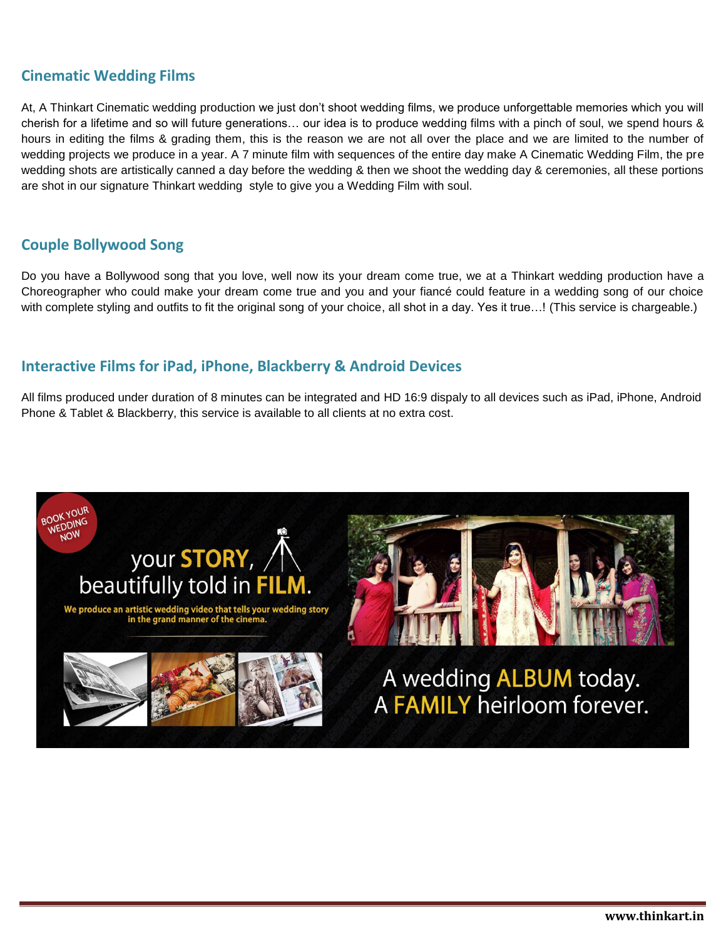#### **Cinematic Wedding Films**

At, A Thinkart Cinematic wedding production we just don't shoot wedding films, we produce unforgettable memories which you will cherish for a lifetime and so will future generations… our idea is to produce wedding films with a pinch of soul, we spend hours & hours in editing the films & grading them, this is the reason we are not all over the place and we are limited to the number of wedding projects we produce in a year. A 7 minute film with sequences of the entire day make A Cinematic Wedding Film, the pre wedding shots are artistically canned a day before the wedding & then we shoot the wedding day & ceremonies, all these portions are shot in our signature Thinkart wedding style to give you a Wedding Film with soul.

#### **Couple Bollywood Song**

Do you have a Bollywood song that you love, well now its your dream come true, we at a Thinkart wedding production have a Choreographer who could make your dream come true and you and your fiancé could feature in a wedding song of our choice with complete styling and outfits to fit the original song of your choice, all shot in a day. Yes it true...! (This service is chargeable.)

#### **Interactive Films for iPad, iPhone, Blackberry & Android Devices**

All films produced under duration of 8 minutes can be integrated and HD 16:9 dispaly to all devices such as iPad, iPhone, Android Phone & Tablet & Blackberry, this service is available to all clients at no extra cost.

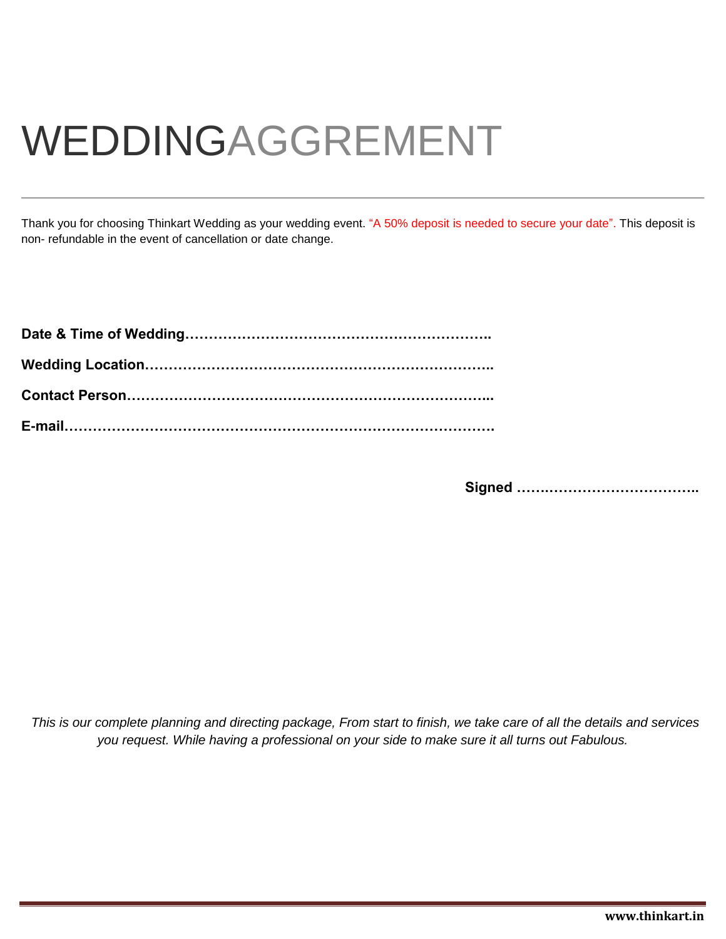### WEDDINGAGGREMENT

Thank you for choosing Thinkart Wedding as your wedding event. "A 50% deposit is needed to secure your date". This deposit is non- refundable in the event of cancellation or date change.

 **Signed …….…………………………..**

*This is our complete planning and directing package, From start to finish, we take care of all the details and services you request. While having a professional on your side to make sure it all turns out Fabulous.*